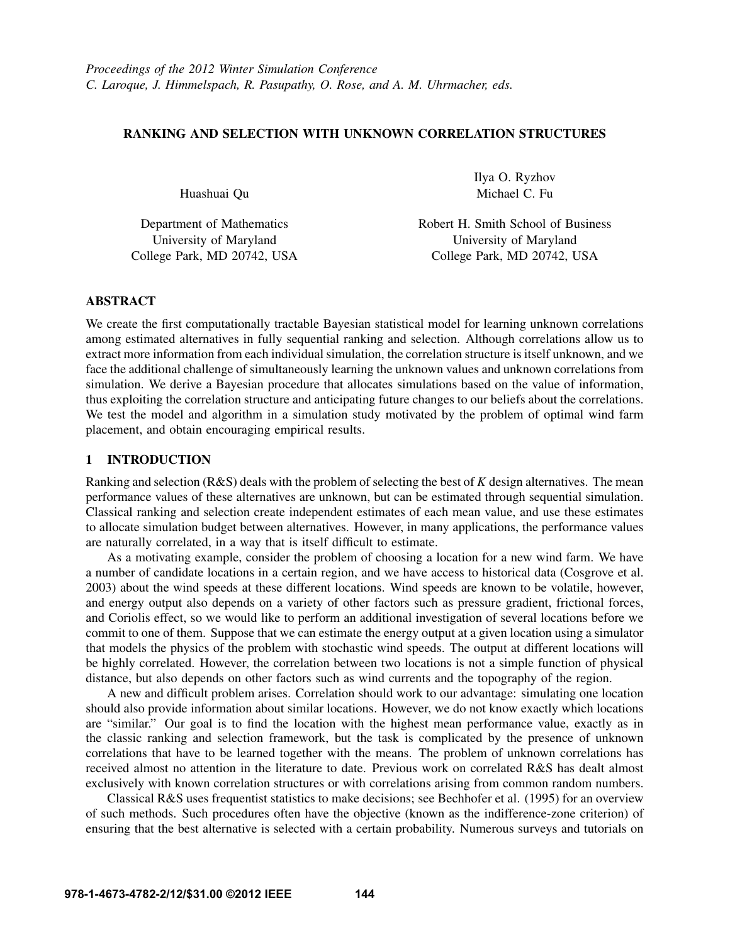# RANKING AND SELECTION WITH UNKNOWN CORRELATION STRUCTURES

Huashuai Qu

Department of Mathematics University of Maryland College Park, MD 20742, USA Ilya O. Ryzhov Michael C. Fu

Robert H. Smith School of Business University of Maryland College Park, MD 20742, USA

# ABSTRACT

We create the first computationally tractable Bayesian statistical model for learning unknown correlations among estimated alternatives in fully sequential ranking and selection. Although correlations allow us to extract more information from each individual simulation, the correlation structure is itself unknown, and we face the additional challenge of simultaneously learning the unknown values and unknown correlations from simulation. We derive a Bayesian procedure that allocates simulations based on the value of information, thus exploiting the correlation structure and anticipating future changes to our beliefs about the correlations. We test the model and algorithm in a simulation study motivated by the problem of optimal wind farm placement, and obtain encouraging empirical results.

# 1 INTRODUCTION

Ranking and selection (R&S) deals with the problem of selecting the best of *K* design alternatives. The mean performance values of these alternatives are unknown, but can be estimated through sequential simulation. Classical ranking and selection create independent estimates of each mean value, and use these estimates to allocate simulation budget between alternatives. However, in many applications, the performance values are naturally correlated, in a way that is itself difficult to estimate.

As a motivating example, consider the problem of choosing a location for a new wind farm. We have a number of candidate locations in a certain region, and we have access to historical data (Cosgrove et al. 2003) about the wind speeds at these different locations. Wind speeds are known to be volatile, however, and energy output also depends on a variety of other factors such as pressure gradient, frictional forces, and Coriolis effect, so we would like to perform an additional investigation of several locations before we commit to one of them. Suppose that we can estimate the energy output at a given location using a simulator that models the physics of the problem with stochastic wind speeds. The output at different locations will be highly correlated. However, the correlation between two locations is not a simple function of physical distance, but also depends on other factors such as wind currents and the topography of the region.

A new and difficult problem arises. Correlation should work to our advantage: simulating one location should also provide information about similar locations. However, we do not know exactly which locations are "similar." Our goal is to find the location with the highest mean performance value, exactly as in the classic ranking and selection framework, but the task is complicated by the presence of unknown correlations that have to be learned together with the means. The problem of unknown correlations has received almost no attention in the literature to date. Previous work on correlated R&S has dealt almost exclusively with known correlation structures or with correlations arising from common random numbers.

Classical R&S uses frequentist statistics to make decisions; see Bechhofer et al. (1995) for an overview of such methods. Such procedures often have the objective (known as the indifference-zone criterion) of ensuring that the best alternative is selected with a certain probability. Numerous surveys and tutorials on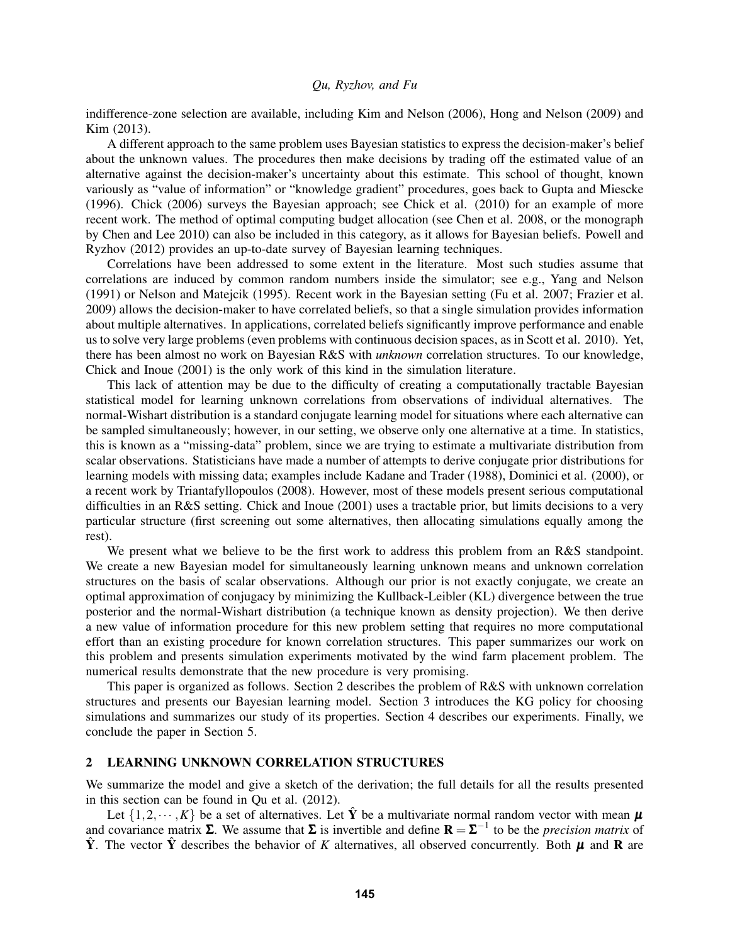indifference-zone selection are available, including Kim and Nelson (2006), Hong and Nelson (2009) and Kim (2013).

A different approach to the same problem uses Bayesian statistics to express the decision-maker's belief about the unknown values. The procedures then make decisions by trading off the estimated value of an alternative against the decision-maker's uncertainty about this estimate. This school of thought, known variously as "value of information" or "knowledge gradient" procedures, goes back to Gupta and Miescke (1996). Chick (2006) surveys the Bayesian approach; see Chick et al. (2010) for an example of more recent work. The method of optimal computing budget allocation (see Chen et al. 2008, or the monograph by Chen and Lee 2010) can also be included in this category, as it allows for Bayesian beliefs. Powell and Ryzhov (2012) provides an up-to-date survey of Bayesian learning techniques.

Correlations have been addressed to some extent in the literature. Most such studies assume that correlations are induced by common random numbers inside the simulator; see e.g., Yang and Nelson (1991) or Nelson and Matejcik (1995). Recent work in the Bayesian setting (Fu et al. 2007; Frazier et al. 2009) allows the decision-maker to have correlated beliefs, so that a single simulation provides information about multiple alternatives. In applications, correlated beliefs significantly improve performance and enable us to solve very large problems (even problems with continuous decision spaces, as in Scott et al. 2010). Yet, there has been almost no work on Bayesian R&S with *unknown* correlation structures. To our knowledge, Chick and Inoue (2001) is the only work of this kind in the simulation literature.

This lack of attention may be due to the difficulty of creating a computationally tractable Bayesian statistical model for learning unknown correlations from observations of individual alternatives. The normal-Wishart distribution is a standard conjugate learning model for situations where each alternative can be sampled simultaneously; however, in our setting, we observe only one alternative at a time. In statistics, this is known as a "missing-data" problem, since we are trying to estimate a multivariate distribution from scalar observations. Statisticians have made a number of attempts to derive conjugate prior distributions for learning models with missing data; examples include Kadane and Trader (1988), Dominici et al. (2000), or a recent work by Triantafyllopoulos (2008). However, most of these models present serious computational difficulties in an R&S setting. Chick and Inoue (2001) uses a tractable prior, but limits decisions to a very particular structure (first screening out some alternatives, then allocating simulations equally among the rest).

We present what we believe to be the first work to address this problem from an R&S standpoint. We create a new Bayesian model for simultaneously learning unknown means and unknown correlation structures on the basis of scalar observations. Although our prior is not exactly conjugate, we create an optimal approximation of conjugacy by minimizing the Kullback-Leibler (KL) divergence between the true posterior and the normal-Wishart distribution (a technique known as density projection). We then derive a new value of information procedure for this new problem setting that requires no more computational effort than an existing procedure for known correlation structures. This paper summarizes our work on this problem and presents simulation experiments motivated by the wind farm placement problem. The numerical results demonstrate that the new procedure is very promising.

This paper is organized as follows. Section 2 describes the problem of R&S with unknown correlation structures and presents our Bayesian learning model. Section 3 introduces the KG policy for choosing simulations and summarizes our study of its properties. Section 4 describes our experiments. Finally, we conclude the paper in Section 5.

# 2 LEARNING UNKNOWN CORRELATION STRUCTURES

We summarize the model and give a sketch of the derivation; the full details for all the results presented in this section can be found in Qu et al. (2012).

Let  $\{1,2,\dots,K\}$  be a set of alternatives. Let  $\hat{Y}$  be a multivariate normal random vector with mean  $\boldsymbol{\mu}$ and covariance matrix  $\Sigma$ . We assume that  $\Sigma$  is invertible and define  $\mathbf{R} = \Sigma^{-1}$  to be the *precision matrix* of  $\hat{Y}$ . The vector  $\hat{Y}$  describes the behavior of *K* alternatives, all observed concurrently. Both  $\mu$  and **R** are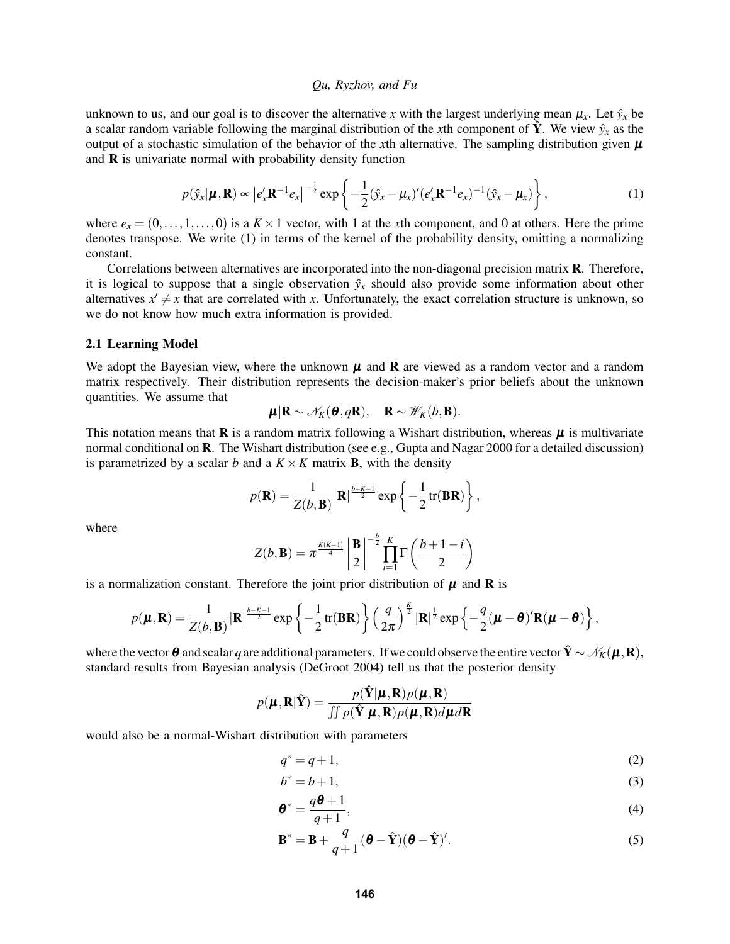unknown to us, and our goal is to discover the alternative *x* with the largest underlying mean  $\mu_x$ . Let  $\hat{y}_x$  be a scalar random variable following the marginal distribution of the *x*th component of  $\hat{Y}$ . We view  $\hat{y}_x$  as the output of a stochastic simulation of the behavior of the *x*th alternative. The sampling distribution given  $\mu$ and  $\bf{R}$  is univariate normal with probability density function

$$
p(\hat{\mathbf{y}}_x|\boldsymbol{\mu}, \mathbf{R}) \propto \left| e'_x \mathbf{R}^{-1} e_x \right|^{-\frac{1}{2}} \exp \left\{ -\frac{1}{2} (\hat{\mathbf{y}}_x - \boldsymbol{\mu}_x)' (e'_x \mathbf{R}^{-1} e_x)^{-1} (\hat{\mathbf{y}}_x - \boldsymbol{\mu}_x) \right\},\tag{1}
$$

where  $e_x = (0, \ldots, 1, \ldots, 0)$  is a  $K \times 1$  vector, with 1 at the *x*th component, and 0 at others. Here the prime denotes transpose. We write (1) in terms of the kernel of the probability density, omitting a normalizing constant.

Correlations between alternatives are incorporated into the non-diagonal precision matrix **. Therefore,** it is logical to suppose that a single observation  $\hat{y}_x$  should also provide some information about other alternatives  $x' \neq x$  that are correlated with *x*. Unfortunately, the exact correlation structure is unknown, so we do not know how much extra information is provided.

#### 2.1 Learning Model

We adopt the Bayesian view, where the unknown  $\mu$  and  $\bf{R}$  are viewed as a random vector and a random matrix respectively. Their distribution represents the decision-maker's prior beliefs about the unknown quantities. We assume that

$$
\mu | \mathbf{R} \sim \mathcal{N}_K(\mathbf{\theta}, q\mathbf{R}), \quad \mathbf{R} \sim \mathcal{W}_K(b, \mathbf{B}).
$$

This notation means that  $\bf{R}$  is a random matrix following a Wishart distribution, whereas  $\mu$  is multivariate normal conditional on **R**. The Wishart distribution (see e.g., Gupta and Nagar 2000 for a detailed discussion) is parametrized by a scalar *b* and a  $K \times K$  matrix **B**, with the density

$$
p(\mathbf{R}) = \frac{1}{Z(b, \mathbf{B})} |\mathbf{R}|^{\frac{b-K-1}{2}} \exp \left\{-\frac{1}{2} \operatorname{tr}(\mathbf{B} \mathbf{R})\right\},\,
$$

where

$$
Z(b, \mathbf{B}) = \pi^{\frac{K(K-1)}{4}} \left| \frac{\mathbf{B}}{2} \right|^{-\frac{b}{2}} \prod_{i=1}^{K} \Gamma\left(\frac{b+1-i}{2}\right)
$$

is a normalization constant. Therefore the joint prior distribution of  $\mu$  and **R** is

$$
p(\boldsymbol{\mu}, \mathbf{R}) = \frac{1}{Z(b, \mathbf{B})} |\mathbf{R}|^{\frac{b-K-1}{2}} \exp \left\{-\frac{1}{2} \text{tr}(\mathbf{B} \mathbf{R})\right\} \left(\frac{q}{2\pi}\right)^{\frac{K}{2}} |\mathbf{R}|^{\frac{1}{2}} \exp \left\{-\frac{q}{2}(\boldsymbol{\mu} - \boldsymbol{\theta})' \mathbf{R}(\boldsymbol{\mu} - \boldsymbol{\theta})\right\},
$$

where the vector  $\boldsymbol{\theta}$  and scalar *q* are additional parameters. If we could observe the entire vector  $\hat{\mathbf{Y}} \sim \mathcal{N}_K(\boldsymbol{\mu},\mathbf{R})$ , standard results from Bayesian analysis (DeGroot 2004) tell us that the posterior density

$$
p(\boldsymbol{\mu}, \mathbf{R} | \hat{\mathbf{Y}}) = \frac{p(\hat{\mathbf{Y}} | \boldsymbol{\mu}, \mathbf{R}) p(\boldsymbol{\mu}, \mathbf{R})}{\iint p(\hat{\mathbf{Y}} | \boldsymbol{\mu}, \mathbf{R}) p(\boldsymbol{\mu}, \mathbf{R}) d\boldsymbol{\mu} d\mathbf{R}}
$$

would also be a normal-Wishart distribution with parameters

$$
q^* = q + 1,\tag{2}
$$

$$
b^* = b + 1,\tag{3}
$$

$$
\boldsymbol{\theta}^* = \frac{q\boldsymbol{\theta} + 1}{q+1},\tag{4}
$$

$$
\mathbf{B}^* = \mathbf{B} + \frac{q}{q+1}(\boldsymbol{\theta} - \hat{\mathbf{Y}})(\boldsymbol{\theta} - \hat{\mathbf{Y}})'.
$$
 (5)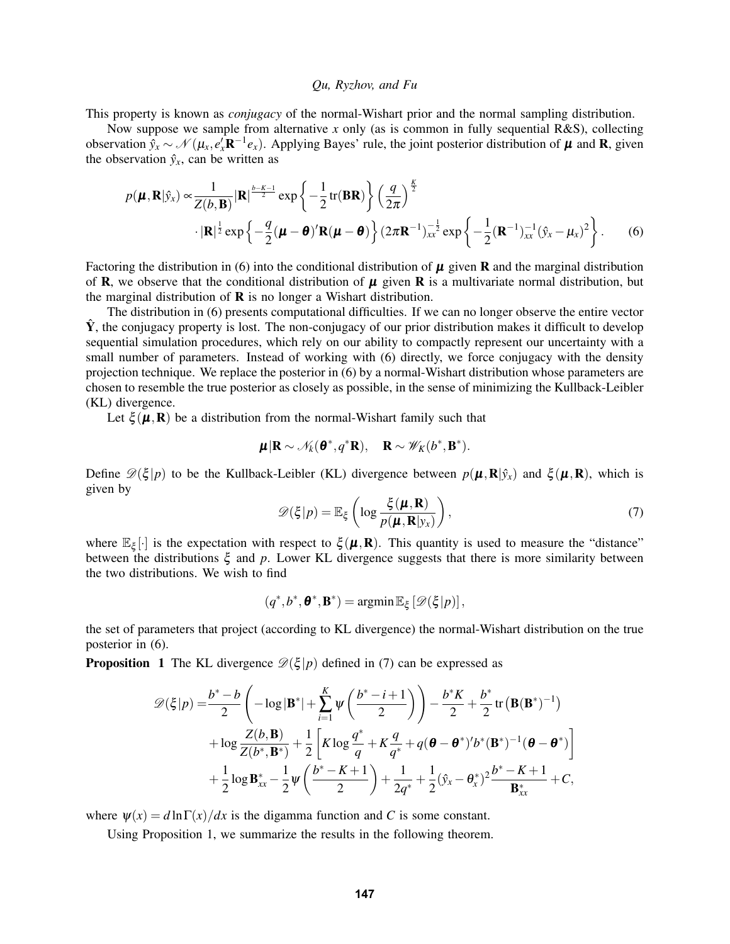This property is known as *conjugacy* of the normal-Wishart prior and the normal sampling distribution.

Now suppose we sample from alternative *x* only (as is common in fully sequential R&S), collecting observation  $\hat{y}_x \sim \mathcal{N}(\mu_x, e'_x \mathbf{R}^{-1} e_x)$ . Applying Bayes' rule, the joint posterior distribution of  $\mu$  and  $\mathbf{R}$ , given the observation  $\hat{y}_x$ , can be written as

$$
p(\boldsymbol{\mu}, \mathbf{R} | \hat{y}_x) \propto \frac{1}{Z(b, \mathbf{B})} |\mathbf{R}|^{\frac{b-K-1}{2}} \exp \left\{-\frac{1}{2} \text{tr}(\mathbf{B} \mathbf{R})\right\} \left(\frac{q}{2\pi}\right)^{\frac{K}{2}} \cdot |\mathbf{R}|^{\frac{1}{2}} \exp \left\{-\frac{q}{2}(\boldsymbol{\mu} - \boldsymbol{\theta})' \mathbf{R}(\boldsymbol{\mu} - \boldsymbol{\theta})\right\} (2\pi \mathbf{R}^{-1})_{xx}^{-\frac{1}{2}} \exp \left\{-\frac{1}{2} (\mathbf{R}^{-1})_{xx}^{-1} (\hat{y}_x - \mu_x)^2\right\}.
$$
 (6)

Factoring the distribution in (6) into the conditional distribution of  $\mu$  given **R** and the marginal distribution of **R**, we observe that the conditional distribution of  $\mu$  given **R** is a multivariate normal distribution, but the marginal distribution of  **is no longer a Wishart distribution.** 

The distribution in (6) presents computational difficulties. If we can no longer observe the entire vector  $\hat{Y}$ , the conjugacy property is lost. The non-conjugacy of our prior distribution makes it difficult to develop sequential simulation procedures, which rely on our ability to compactly represent our uncertainty with a small number of parameters. Instead of working with (6) directly, we force conjugacy with the density projection technique. We replace the posterior in (6) by a normal-Wishart distribution whose parameters are chosen to resemble the true posterior as closely as possible, in the sense of minimizing the Kullback-Leibler (KL) divergence.

Let  $\xi(\mu, R)$  be a distribution from the normal-Wishart family such that

$$
\mu | \mathbf{R} \sim \mathcal{N}_k(\boldsymbol{\theta}^*, q^* \mathbf{R}), \quad \mathbf{R} \sim \mathscr{W}_K(b^*, \mathbf{B}^*).
$$

Define  $\mathscr{D}(\xi | p)$  to be the Kullback-Leibler (KL) divergence between  $p(\mu, \mathbf{R} | \hat{y}_x)$  and  $\xi(\mu, \mathbf{R})$ , which is given by

$$
\mathscr{D}(\xi|p) = \mathbb{E}_{\xi} \left( \log \frac{\xi(\boldsymbol{\mu}, \mathbf{R})}{p(\boldsymbol{\mu}, \mathbf{R}|y_x)} \right),\tag{7}
$$

where  $\mathbb{E}_{\xi}[\cdot]$  is the expectation with respect to  $\xi(\mu, R)$ . This quantity is used to measure the "distance" between the distributions ξ and *p*. Lower KL divergence suggests that there is more similarity between the two distributions. We wish to find

$$
(q^*,b^*,\boldsymbol{\theta}^*,\mathbf{B}^*) = \operatorname{argmin} \mathbb{E}_{\xi} \left[ \mathscr{D}(\xi|p) \right],
$$

the set of parameters that project (according to KL divergence) the normal-Wishart distribution on the true posterior in (6).

**Proposition 1** The KL divergence  $\mathcal{D}(\xi | p)$  defined in (7) can be expressed as

$$
\mathscr{D}(\xi|p) = \frac{b^* - b}{2} \left( -\log|\mathbf{B}^*| + \sum_{i=1}^K \psi\left(\frac{b^* - i + 1}{2}\right) \right) - \frac{b^*K}{2} + \frac{b^*}{2} \text{tr}\left(\mathbf{B}(\mathbf{B}^*)^{-1}\right) + \log \frac{Z(b, \mathbf{B})}{Z(b^*, \mathbf{B}^*)} + \frac{1}{2} \left[ K \log \frac{q^*}{q} + K \frac{q}{q^*} + q(\boldsymbol{\theta} - \boldsymbol{\theta}^*)' b^*(\mathbf{B}^*)^{-1}(\boldsymbol{\theta} - \boldsymbol{\theta}^*) \right] + \frac{1}{2} \log \mathbf{B}_{xx}^* - \frac{1}{2} \psi\left(\frac{b^* - K + 1}{2}\right) + \frac{1}{2q^*} + \frac{1}{2} (\hat{y}_x - \boldsymbol{\theta}_x^*)^2 \frac{b^* - K + 1}{\mathbf{B}_{xx}^*} + C,
$$

where  $\psi(x) = d \ln \Gamma(x) / dx$  is the digamma function and *C* is some constant.

Using Proposition 1, we summarize the results in the following theorem.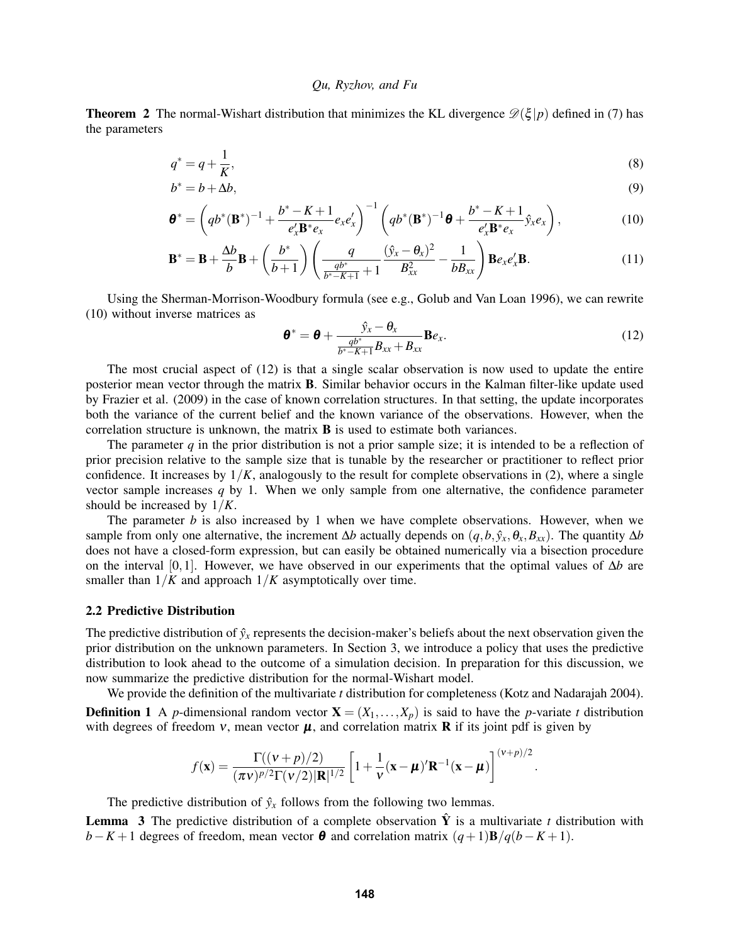**Theorem 2** The normal-Wishart distribution that minimizes the KL divergence  $\mathcal{D}(\xi | p)$  defined in (7) has the parameters

$$
q^* = q + \frac{1}{K},\tag{8}
$$

$$
b^* = b + \Delta b,\tag{9}
$$

$$
\mathbf{\theta}^* = \left( qb^*(\mathbf{B}^*)^{-1} + \frac{b^* - K + 1}{e'_x \mathbf{B}^* e_x} e'_x \right)^{-1} \left( qb^*(\mathbf{B}^*)^{-1} \mathbf{\theta} + \frac{b^* - K + 1}{e'_x \mathbf{B}^* e_x} \hat{\mathbf{y}}_x e_x \right),\tag{10}
$$

$$
\mathbf{B}^* = \mathbf{B} + \frac{\Delta b}{b} \mathbf{B} + \left(\frac{b^*}{b+1}\right) \left(\frac{q}{\frac{qb^*}{b^*-K+1}+1} \frac{(\hat{y}_x - \theta_x)^2}{B_{xx}^2} - \frac{1}{bB_{xx}}\right) \mathbf{B} e_x e_x' \mathbf{B}.
$$
 (11)

Using the Sherman-Morrison-Woodbury formula (see e.g., Golub and Van Loan 1996), we can rewrite (10) without inverse matrices as

$$
\boldsymbol{\theta}^* = \boldsymbol{\theta} + \frac{\hat{y}_x - \theta_x}{\frac{q b^*}{b^* - K + 1} B_{xx} + B_{xx}} \mathbf{B} e_x.
$$
 (12)

The most crucial aspect of (12) is that a single scalar observation is now used to update the entire posterior mean vector through the matrix B. Similar behavior occurs in the Kalman filter-like update used by Frazier et al. (2009) in the case of known correlation structures. In that setting, the update incorporates both the variance of the current belief and the known variance of the observations. However, when the correlation structure is unknown, the matrix  $\bf{B}$  is used to estimate both variances.

The parameter  $q$  in the prior distribution is not a prior sample size; it is intended to be a reflection of prior precision relative to the sample size that is tunable by the researcher or practitioner to reflect prior confidence. It increases by  $1/K$ , analogously to the result for complete observations in (2), where a single vector sample increases *q* by 1. When we only sample from one alternative, the confidence parameter should be increased by 1/*K*.

The parameter *b* is also increased by 1 when we have complete observations. However, when we sample from only one alternative, the increment  $\Delta b$  actually depends on  $(q, b, \hat{y}_x, \theta_x, B_{xx})$ . The quantity  $\Delta b$ does not have a closed-form expression, but can easily be obtained numerically via a bisection procedure on the interval [0,1]. However, we have observed in our experiments that the optimal values of ∆*b* are smaller than  $1/K$  and approach  $1/K$  asymptotically over time.

#### 2.2 Predictive Distribution

The predictive distribution of  $\hat{y}_x$  represents the decision-maker's beliefs about the next observation given the prior distribution on the unknown parameters. In Section 3, we introduce a policy that uses the predictive distribution to look ahead to the outcome of a simulation decision. In preparation for this discussion, we now summarize the predictive distribution for the normal-Wishart model.

We provide the definition of the multivariate *t* distribution for completeness (Kotz and Nadarajah 2004). **Definition 1** A *p*-dimensional random vector  $X = (X_1, \ldots, X_p)$  is said to have the *p*-variate *t* distribution with degrees of freedom  $v$ , mean vector  $\mu$ , and correlation matrix **R** if its joint pdf is given by

$$
f(\mathbf{x}) = \frac{\Gamma((\nu + p)/2)}{(\pi \nu)^{p/2} \Gamma(\nu/2) |\mathbf{R}|^{1/2}} \left[1 + \frac{1}{\nu} (\mathbf{x} - \boldsymbol{\mu})' \mathbf{R}^{-1} (\mathbf{x} - \boldsymbol{\mu})\right]^{(\nu + p)/2}.
$$

The predictive distribution of  $\hat{y}_x$  follows from the following two lemmas.

**Lemma** 3 The predictive distribution of a complete observation  $\hat{Y}$  is a multivariate *t* distribution with *b*−*K* + 1 degrees of freedom, mean vector  $\theta$  and correlation matrix  $(q+1)\mathbf{B}/q(b-K+1)$ .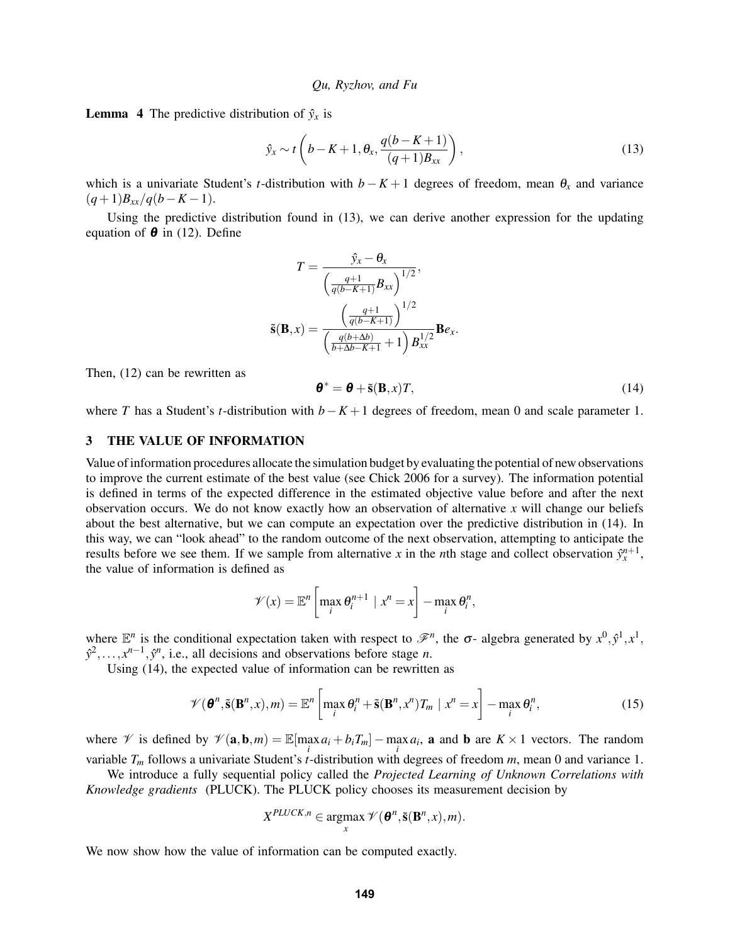**Lemma 4** The predictive distribution of  $\hat{y}_x$  is

$$
\hat{y}_x \sim t\left(b - K + 1, \theta_x, \frac{q(b - K + 1)}{(q + 1)B_{xx}}\right),\tag{13}
$$

which is a univariate Student's *t*-distribution with  $b - K + 1$  degrees of freedom, mean  $\theta_x$  and variance  $(q+1)B_{xx}/q(b-K-1).$ 

Using the predictive distribution found in (13), we can derive another expression for the updating equation of  $\theta$  in (12). Define

$$
T = \frac{\hat{y}_x - \theta_x}{\left(\frac{q+1}{q(b-K+1)}B_{xx}\right)^{1/2}},
$$

$$
\tilde{\mathbf{s}}(\mathbf{B},x) = \frac{\left(\frac{q+1}{q(b-K+1)}\right)^{1/2}}{\left(\frac{q(b+\Delta b)}{b+\Delta b-K+1}+1\right)B_{xx}^{1/2}}\mathbf{B}e_x.
$$

Then, (12) can be rewritten as

$$
\boldsymbol{\theta}^* = \boldsymbol{\theta} + \tilde{\mathbf{s}}(\mathbf{B}, x)T,\tag{14}
$$

where *T* has a Student's *t*-distribution with *b*−*K* +1 degrees of freedom, mean 0 and scale parameter 1.

# 3 THE VALUE OF INFORMATION

Value of information procedures allocate the simulation budget by evaluating the potential of new observations to improve the current estimate of the best value (see Chick 2006 for a survey). The information potential is defined in terms of the expected difference in the estimated objective value before and after the next observation occurs. We do not know exactly how an observation of alternative *x* will change our beliefs about the best alternative, but we can compute an expectation over the predictive distribution in (14). In this way, we can "look ahead" to the random outcome of the next observation, attempting to anticipate the results before we see them. If we sample from alternative *x* in the *n*th stage and collect observation  $\hat{y}_x^{n+1}$ , the value of information is defined as

$$
\mathscr{V}(x) = \mathbb{E}^n \left[ \max_i \theta_i^{n+1} \mid x^n = x \right] - \max_i \theta_i^n,
$$

where  $\mathbb{E}^n$  is the conditional expectation taken with respect to  $\mathscr{F}^n$ , the  $\sigma$ - algebra generated by  $x^0, \hat{y}^1, x^1$ ,  $\hat{y}^2, \ldots, x^{n-1}, \hat{y}^n$ , i.e., all decisions and observations before stage *n*.

Using (14), the expected value of information can be rewritten as

$$
\mathscr{V}(\boldsymbol{\theta}^n, \tilde{\mathbf{s}}(\mathbf{B}^n, x), m) = \mathbb{E}^n \left[ \max_i \theta_i^n + \tilde{\mathbf{s}}(\mathbf{B}^n, x^n) T_m \mid x^n = x \right] - \max_i \theta_i^n,
$$
\n(15)

where  $\mathcal V$  is defined by  $\mathcal V(\mathbf{a}, \mathbf{b}, m) = \mathbb E[\max_i a_i + b_i T_m] - \max_i a_i$ , **a** and **b** are  $K \times 1$  vectors. The random variable  $T_m$  follows a univariate Student's *t*-distribution with degrees of freedom *m*, mean 0 and variance 1.

We introduce a fully sequential policy called the *Projected Learning of Unknown Correlations with Knowledge gradients* (PLUCK). The PLUCK policy chooses its measurement decision by

$$
X^{PLUCK,n} \in \operatorname*{argmax}_{x} \mathscr{V}(\boldsymbol{\theta}^{n}, \tilde{\mathbf{s}}(\mathbf{B}^{n}, x), m).
$$

We now show how the value of information can be computed exactly.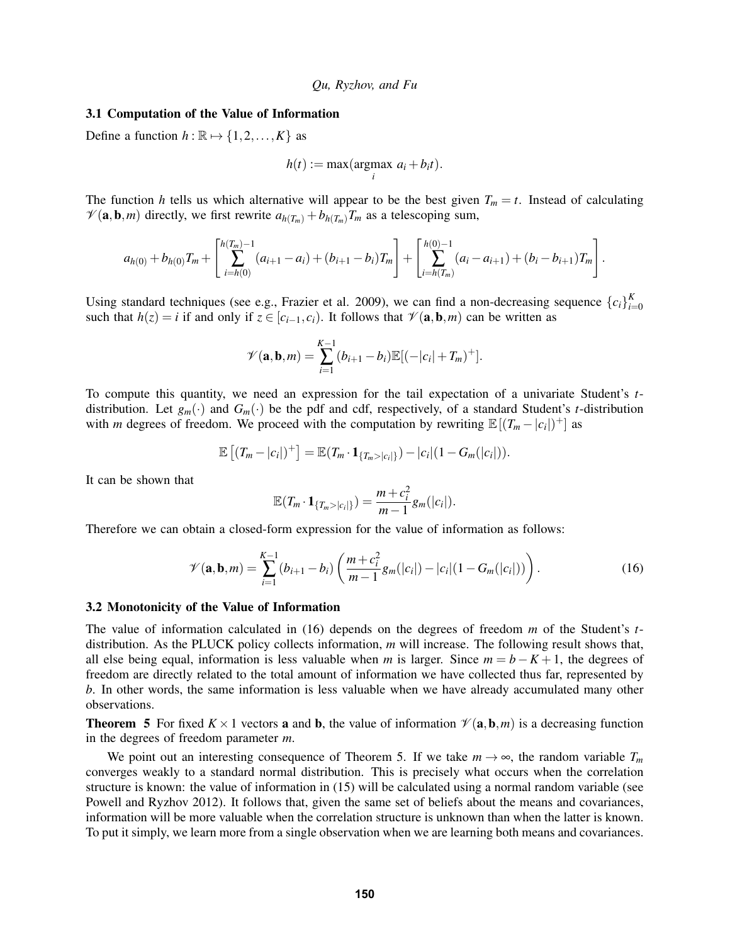#### 3.1 Computation of the Value of Information

Define a function  $h : \mathbb{R} \mapsto \{1,2,\ldots,K\}$  as

$$
h(t) := \max(\underset{i}{\operatorname{argmax}} a_i + b_i t).
$$

The function *h* tells us which alternative will appear to be the best given  $T_m = t$ . Instead of calculating  $\mathcal{V}(\mathbf{a}, \mathbf{b}, m)$  directly, we first rewrite  $a_{h(T_m)} + b_{h(T_m)}T_m$  as a telescoping sum,

$$
a_{h(0)} + b_{h(0)}T_m + \left[\sum_{i=h(0)}^{h(T_m)-1} (a_{i+1} - a_i) + (b_{i+1} - b_i)T_m\right] + \left[\sum_{i=h(T_m)}^{h(0)-1} (a_i - a_{i+1}) + (b_i - b_{i+1})T_m\right].
$$

Using standard techniques (see e.g., Frazier et al. 2009), we can find a non-decreasing sequence  ${c_i}_{i}^K$ *i*=0 such that  $h(z) = i$  if and only if  $z \in [c_{i-1}, c_i)$ . It follows that  $\mathcal{V}(\mathbf{a}, \mathbf{b}, m)$  can be written as

$$
\mathscr{V}(\mathbf{a}, \mathbf{b}, m) = \sum_{i=1}^{K-1} (b_{i+1} - b_i) \mathbb{E}[(-|c_i| + T_m)^+].
$$

To compute this quantity, we need an expression for the tail expectation of a univariate Student's *t*distribution. Let  $g_m(\cdot)$  and  $G_m(\cdot)$  be the pdf and cdf, respectively, of a standard Student's *t*-distribution with *m* degrees of freedom. We proceed with the computation by rewriting  $\mathbb{E}[(T_m - |c_i|)^+]$  as

$$
\mathbb{E} [(T_m-|c_i|)^+] = \mathbb{E} (T_m \cdot \mathbf{1}_{\{T_m>|c_i|\}}) - |c_i| (1-G_m(|c_i|)).
$$

It can be shown that

$$
\mathbb{E}(T_m \cdot \mathbf{1}_{\{T_m > |c_i|\}}) = \frac{m + c_i^2}{m - 1} g_m(|c_i|).
$$

Therefore we can obtain a closed-form expression for the value of information as follows:

$$
\mathscr{V}(\mathbf{a}, \mathbf{b}, m) = \sum_{i=1}^{K-1} (b_{i+1} - b_i) \left( \frac{m + c_i^2}{m - 1} g_m(|c_i|) - |c_i| (1 - G_m(|c_i|)) \right).
$$
 (16)

#### 3.2 Monotonicity of the Value of Information

The value of information calculated in (16) depends on the degrees of freedom *m* of the Student's *t*distribution. As the PLUCK policy collects information, *m* will increase. The following result shows that, all else being equal, information is less valuable when *m* is larger. Since  $m = b - K + 1$ , the degrees of freedom are directly related to the total amount of information we have collected thus far, represented by *b*. In other words, the same information is less valuable when we have already accumulated many other observations.

**Theorem 5** For fixed  $K \times 1$  vectors **a** and **b**, the value of information  $\mathcal{V}(\mathbf{a}, \mathbf{b}, m)$  is a decreasing function in the degrees of freedom parameter *m*.

We point out an interesting consequence of Theorem 5. If we take  $m \to \infty$ , the random variable  $T_m$ converges weakly to a standard normal distribution. This is precisely what occurs when the correlation structure is known: the value of information in (15) will be calculated using a normal random variable (see Powell and Ryzhov 2012). It follows that, given the same set of beliefs about the means and covariances, information will be more valuable when the correlation structure is unknown than when the latter is known. To put it simply, we learn more from a single observation when we are learning both means and covariances.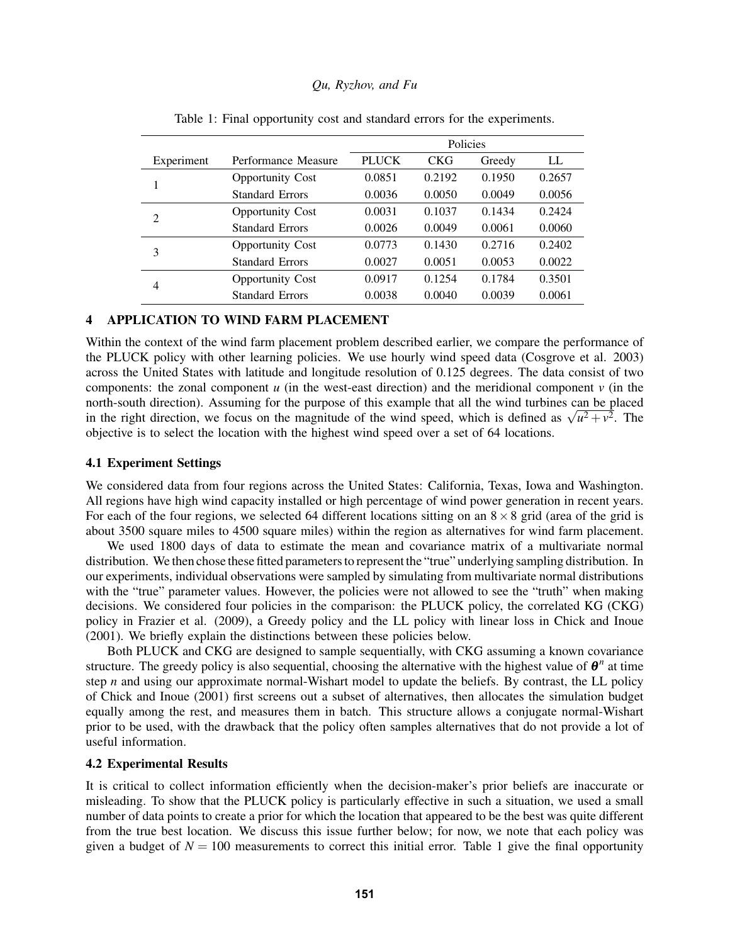|                             |                         | Policies     |            |        |        |
|-----------------------------|-------------------------|--------------|------------|--------|--------|
| Experiment                  | Performance Measure     | <b>PLUCK</b> | <b>CKG</b> | Greedy | LL     |
|                             | <b>Opportunity Cost</b> | 0.0851       | 0.2192     | 0.1950 | 0.2657 |
|                             | <b>Standard Errors</b>  | 0.0036       | 0.0050     | 0.0049 | 0.0056 |
| $\mathcal{D}_{\mathcal{L}}$ | <b>Opportunity Cost</b> | 0.0031       | 0.1037     | 0.1434 | 0.2424 |
|                             | <b>Standard Errors</b>  | 0.0026       | 0.0049     | 0.0061 | 0.0060 |
| 3                           | <b>Opportunity Cost</b> | 0.0773       | 0.1430     | 0.2716 | 0.2402 |
|                             | <b>Standard Errors</b>  | 0.0027       | 0.0051     | 0.0053 | 0.0022 |
| 4                           | <b>Opportunity Cost</b> | 0.0917       | 0.1254     | 0.1784 | 0.3501 |
|                             | <b>Standard Errors</b>  | 0.0038       | 0.0040     | 0.0039 | 0.0061 |

Table 1: Final opportunity cost and standard errors for the experiments.

### 4 APPLICATION TO WIND FARM PLACEMENT

Within the context of the wind farm placement problem described earlier, we compare the performance of the PLUCK policy with other learning policies. We use hourly wind speed data (Cosgrove et al. 2003) across the United States with latitude and longitude resolution of 0.125 degrees. The data consist of two components: the zonal component  $u$  (in the west-east direction) and the meridional component  $v$  (in the north-south direction). Assuming for the purpose of this example that all the wind turbines can be placed north-south direction). Assuming for the purpose of this example that all the wind turbines can be placed<br>in the right direction, we focus on the magnitude of the wind speed, which is defined as  $\sqrt{u^2 + y^2}$ . The objective is to select the location with the highest wind speed over a set of 64 locations.

### 4.1 Experiment Settings

We considered data from four regions across the United States: California, Texas, Iowa and Washington. All regions have high wind capacity installed or high percentage of wind power generation in recent years. For each of the four regions, we selected 64 different locations sitting on an  $8 \times 8$  grid (area of the grid is about 3500 square miles to 4500 square miles) within the region as alternatives for wind farm placement.

We used 1800 days of data to estimate the mean and covariance matrix of a multivariate normal distribution. We then chose these fitted parameters to represent the "true" underlying sampling distribution. In our experiments, individual observations were sampled by simulating from multivariate normal distributions with the "true" parameter values. However, the policies were not allowed to see the "truth" when making decisions. We considered four policies in the comparison: the PLUCK policy, the correlated KG (CKG) policy in Frazier et al. (2009), a Greedy policy and the LL policy with linear loss in Chick and Inoue (2001). We briefly explain the distinctions between these policies below.

Both PLUCK and CKG are designed to sample sequentially, with CKG assuming a known covariance structure. The greedy policy is also sequential, choosing the alternative with the highest value of  $\theta^n$  at time step *n* and using our approximate normal-Wishart model to update the beliefs. By contrast, the LL policy of Chick and Inoue (2001) first screens out a subset of alternatives, then allocates the simulation budget equally among the rest, and measures them in batch. This structure allows a conjugate normal-Wishart prior to be used, with the drawback that the policy often samples alternatives that do not provide a lot of useful information.

### 4.2 Experimental Results

It is critical to collect information efficiently when the decision-maker's prior beliefs are inaccurate or misleading. To show that the PLUCK policy is particularly effective in such a situation, we used a small number of data points to create a prior for which the location that appeared to be the best was quite different from the true best location. We discuss this issue further below; for now, we note that each policy was given a budget of  $N = 100$  measurements to correct this initial error. Table 1 give the final opportunity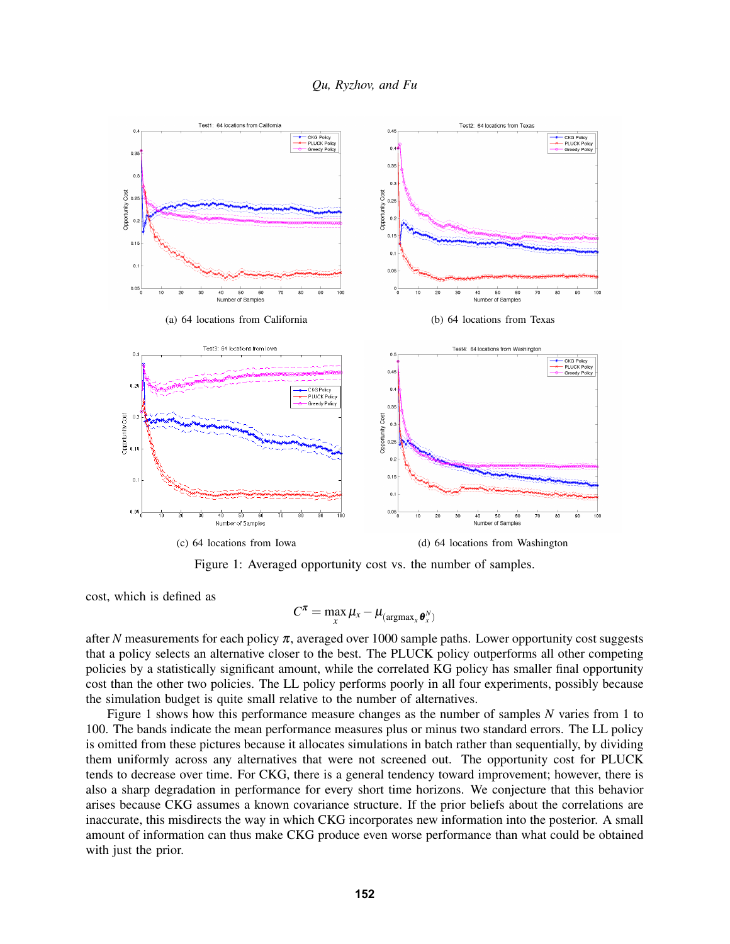



Figure 1: Averaged opportunity cost vs. the number of samples.

cost, which is defined as

$$
C^{\pi} = \max_{x} \mu_x - \mu_{(\text{argmax}_x \boldsymbol{\theta}_x^N)}
$$

after *N* measurements for each policy  $\pi$ , averaged over 1000 sample paths. Lower opportunity cost suggests that a policy selects an alternative closer to the best. The PLUCK policy outperforms all other competing policies by a statistically significant amount, while the correlated KG policy has smaller final opportunity cost than the other two policies. The LL policy performs poorly in all four experiments, possibly because the simulation budget is quite small relative to the number of alternatives.

Figure 1 shows how this performance measure changes as the number of samples *N* varies from 1 to 100. The bands indicate the mean performance measures plus or minus two standard errors. The LL policy is omitted from these pictures because it allocates simulations in batch rather than sequentially, by dividing them uniformly across any alternatives that were not screened out. The opportunity cost for PLUCK tends to decrease over time. For CKG, there is a general tendency toward improvement; however, there is also a sharp degradation in performance for every short time horizons. We conjecture that this behavior arises because CKG assumes a known covariance structure. If the prior beliefs about the correlations are inaccurate, this misdirects the way in which CKG incorporates new information into the posterior. A small amount of information can thus make CKG produce even worse performance than what could be obtained with just the prior.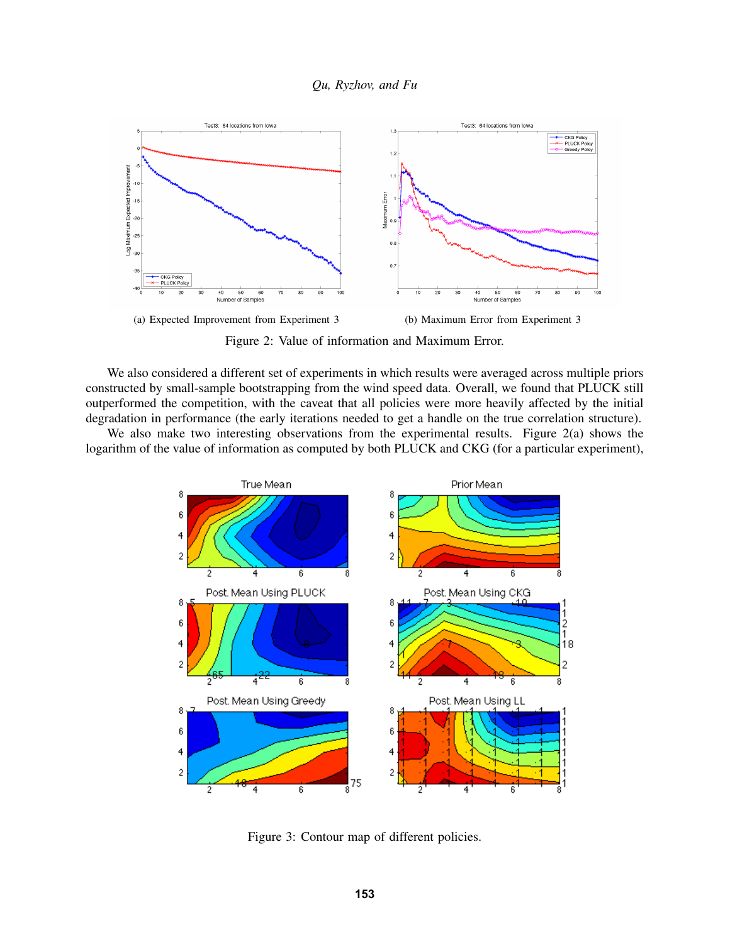

Figure 2: Value of information and Maximum Error.

We also considered a different set of experiments in which results were averaged across multiple priors constructed by small-sample bootstrapping from the wind speed data. Overall, we found that PLUCK still outperformed the competition, with the caveat that all policies were more heavily affected by the initial degradation in performance (the early iterations needed to get a handle on the true correlation structure).

We also make two interesting observations from the experimental results. Figure 2(a) shows the logarithm of the value of information as computed by both PLUCK and CKG (for a particular experiment),



Figure 3: Contour map of different policies.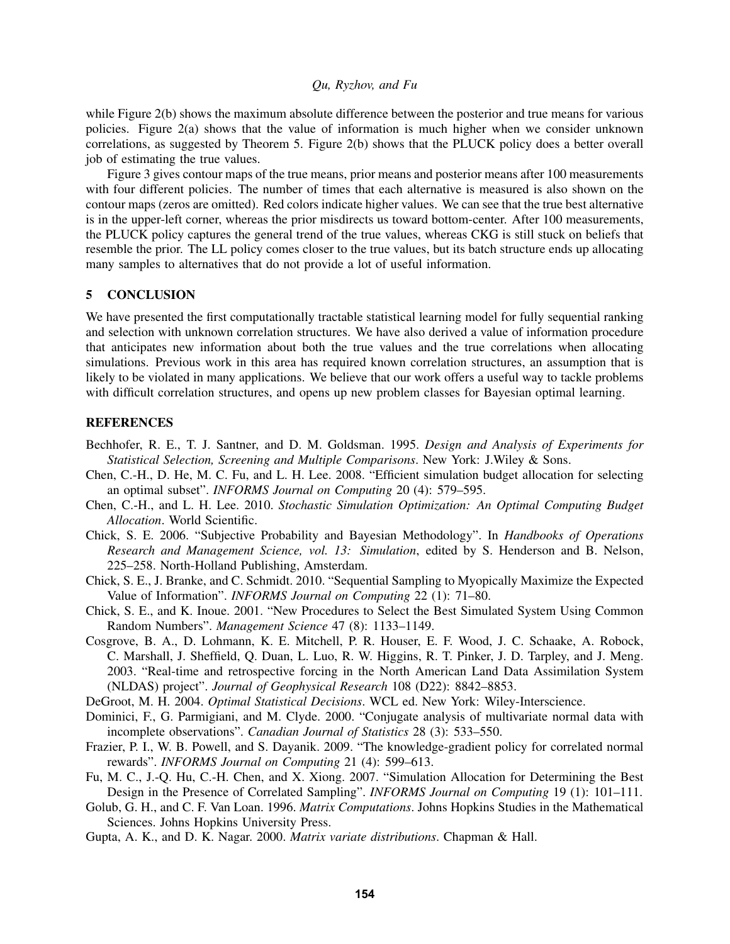while Figure 2(b) shows the maximum absolute difference between the posterior and true means for various policies. Figure 2(a) shows that the value of information is much higher when we consider unknown correlations, as suggested by Theorem 5. Figure 2(b) shows that the PLUCK policy does a better overall job of estimating the true values.

Figure 3 gives contour maps of the true means, prior means and posterior means after 100 measurements with four different policies. The number of times that each alternative is measured is also shown on the contour maps (zeros are omitted). Red colors indicate higher values. We can see that the true best alternative is in the upper-left corner, whereas the prior misdirects us toward bottom-center. After 100 measurements, the PLUCK policy captures the general trend of the true values, whereas CKG is still stuck on beliefs that resemble the prior. The LL policy comes closer to the true values, but its batch structure ends up allocating many samples to alternatives that do not provide a lot of useful information.

# 5 CONCLUSION

We have presented the first computationally tractable statistical learning model for fully sequential ranking and selection with unknown correlation structures. We have also derived a value of information procedure that anticipates new information about both the true values and the true correlations when allocating simulations. Previous work in this area has required known correlation structures, an assumption that is likely to be violated in many applications. We believe that our work offers a useful way to tackle problems with difficult correlation structures, and opens up new problem classes for Bayesian optimal learning.

# **REFERENCES**

- Bechhofer, R. E., T. J. Santner, and D. M. Goldsman. 1995. *Design and Analysis of Experiments for Statistical Selection, Screening and Multiple Comparisons*. New York: J.Wiley & Sons.
- Chen, C.-H., D. He, M. C. Fu, and L. H. Lee. 2008. "Efficient simulation budget allocation for selecting an optimal subset". *INFORMS Journal on Computing* 20 (4): 579–595.
- Chen, C.-H., and L. H. Lee. 2010. *Stochastic Simulation Optimization: An Optimal Computing Budget Allocation*. World Scientific.
- Chick, S. E. 2006. "Subjective Probability and Bayesian Methodology". In *Handbooks of Operations Research and Management Science, vol. 13: Simulation*, edited by S. Henderson and B. Nelson, 225–258. North-Holland Publishing, Amsterdam.
- Chick, S. E., J. Branke, and C. Schmidt. 2010. "Sequential Sampling to Myopically Maximize the Expected Value of Information". *INFORMS Journal on Computing* 22 (1): 71–80.
- Chick, S. E., and K. Inoue. 2001. "New Procedures to Select the Best Simulated System Using Common Random Numbers". *Management Science* 47 (8): 1133–1149.
- Cosgrove, B. A., D. Lohmann, K. E. Mitchell, P. R. Houser, E. F. Wood, J. C. Schaake, A. Robock, C. Marshall, J. Sheffield, Q. Duan, L. Luo, R. W. Higgins, R. T. Pinker, J. D. Tarpley, and J. Meng. 2003. "Real-time and retrospective forcing in the North American Land Data Assimilation System (NLDAS) project". *Journal of Geophysical Research* 108 (D22): 8842–8853.
- DeGroot, M. H. 2004. *Optimal Statistical Decisions*. WCL ed. New York: Wiley-Interscience.
- Dominici, F., G. Parmigiani, and M. Clyde. 2000. "Conjugate analysis of multivariate normal data with incomplete observations". *Canadian Journal of Statistics* 28 (3): 533–550.
- Frazier, P. I., W. B. Powell, and S. Dayanik. 2009. "The knowledge-gradient policy for correlated normal rewards". *INFORMS Journal on Computing* 21 (4): 599–613.
- Fu, M. C., J.-Q. Hu, C.-H. Chen, and X. Xiong. 2007. "Simulation Allocation for Determining the Best Design in the Presence of Correlated Sampling". *INFORMS Journal on Computing* 19 (1): 101–111.
- Golub, G. H., and C. F. Van Loan. 1996. *Matrix Computations*. Johns Hopkins Studies in the Mathematical Sciences. Johns Hopkins University Press.
- Gupta, A. K., and D. K. Nagar. 2000. *Matrix variate distributions*. Chapman & Hall.